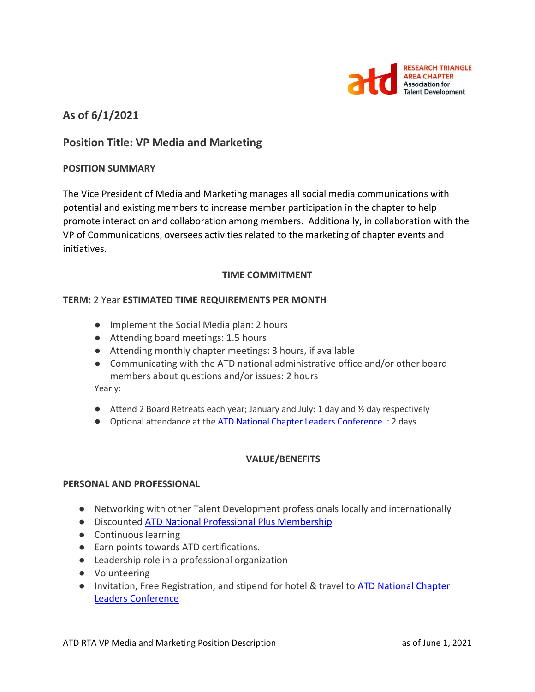

# **As of 6/1/2021**

# **Position Title: VP Media and Marketing**

#### **POSITION SUMMARY**

The Vice President of Media and Marketing manages all social media communications with potential and existing members to increase member participation in the chapter to help promote interaction and collaboration among members. Additionally, in collaboration with the VP of Communications, oversees activities related to the marketing of chapter events and initiatives.

### **TIME COMMITMENT**

### **TERM:** 2 Year **ESTIMATED TIME REQUIREMENTS PER MONTH**

- Implement the Social Media plan: 2 hours
- Attending board meetings: 1.5 hours
- Attending monthly chapter meetings: 3 hours, if available
- Communicating with the ATD national administrative office and/or other board members about questions and/or issues: 2 hours

Yearly:

- $\bullet$  Attend 2 Board Retreats each year; January and July: 1 day and  $\frac{1}{2}$  day respectively
- Optional attendance at the **ATD National Chapter Leaders Conference** : 2 days

### **VALUE/BENEFITS**

#### **PERSONAL AND PROFESSIONAL**

- Networking with other Talent Development professionals locally and internationally
- Discounted [ATD National Professional Plus Membership](https://checkout.td.org/Membership)
- Continuous learning
- Earn points towards ATD certifications.
- Leadership role in a professional organization
- Volunteering
- Invitation, Free Registration, and stipend for hotel & travel to ATD National Chapter [Leaders Conference](https://events.td.org/Chapter-Leaders-Conference)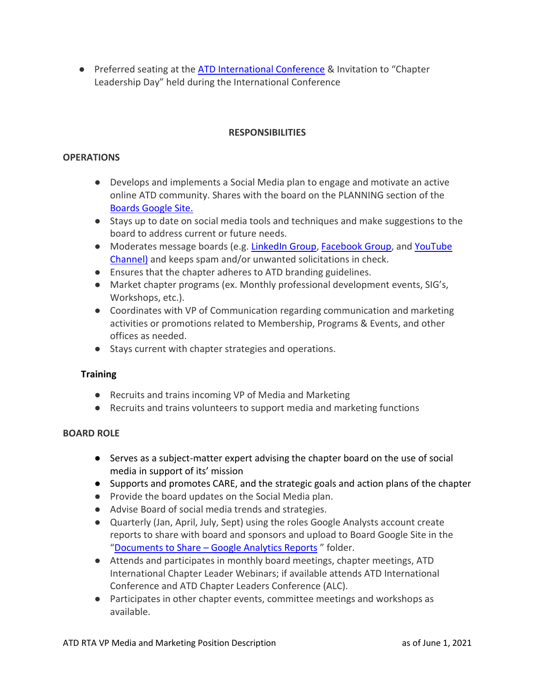● Preferred seating at the [ATD International Conference](https://www.td.org/events) & Invitation to "Chapter Leadership Day" held during the International Conference

# **RESPONSIBILITIES**

### **OPERATIONS**

- Develops and implements a Social Media plan to engage and motivate an active online ATD community. Shares with the board on the PLANNING section of the [Boards Google Site.](https://sites.google.com/site/rtaboardofdirectors/planning-documents)
- Stays up to date on social media tools and techniques and make suggestions to the board to address current or future needs.
- Moderates message boards (e.g. [LinkedIn Group,](https://www.linkedin.com/groups/139066/) [Facebook Group,](https://www.facebook.com/login/?next=https%3A%2F%2Fwww.facebook.com%2Fgroups%2FATDRTA%2F) an[d YouTube](https://www.youtube.com/channel/UCYwxpRsdT2rHAH4jG4mCkdA)  [Channel\)](https://www.youtube.com/channel/UCYwxpRsdT2rHAH4jG4mCkdA) and keeps spam and/or unwanted solicitations in check.
- Ensures that the chapter adheres to ATD branding guidelines.
- Market chapter programs (ex. Monthly professional development events, SIG's, Workshops, etc.).
- Coordinates with VP of Communication regarding communication and marketing activities or promotions related to Membership, Programs & Events, and other offices as needed.
- Stays current with chapter strategies and operations.

### **Training**

- Recruits and trains incoming VP of Media and Marketing
- Recruits and trains volunteers to support media and marketing functions

### **BOARD ROLE**

- Serves as a subject-matter expert advising the chapter board on the use of social media in support of its' mission
- Supports and promotes CARE, and the strategic goals and action plans of the chapter
- Provide the board updates on the Social Media plan.
- Advise Board of social media trends and strategies.
- Quarterly (Jan, April, July, Sept) using the roles Google Analysts account create reports to share with board and sponsors and upload to Board Google Site in the "Documents to Share - [Google Analytics Reports](https://sites.google.com/site/rtaboardofdirectors/Documents-to-Share)" folder.
- Attends and participates in monthly board meetings, chapter meetings, ATD International Chapter Leader Webinars; if available attends ATD International Conference and ATD Chapter Leaders Conference (ALC).
- Participates in other chapter events, committee meetings and workshops as available.